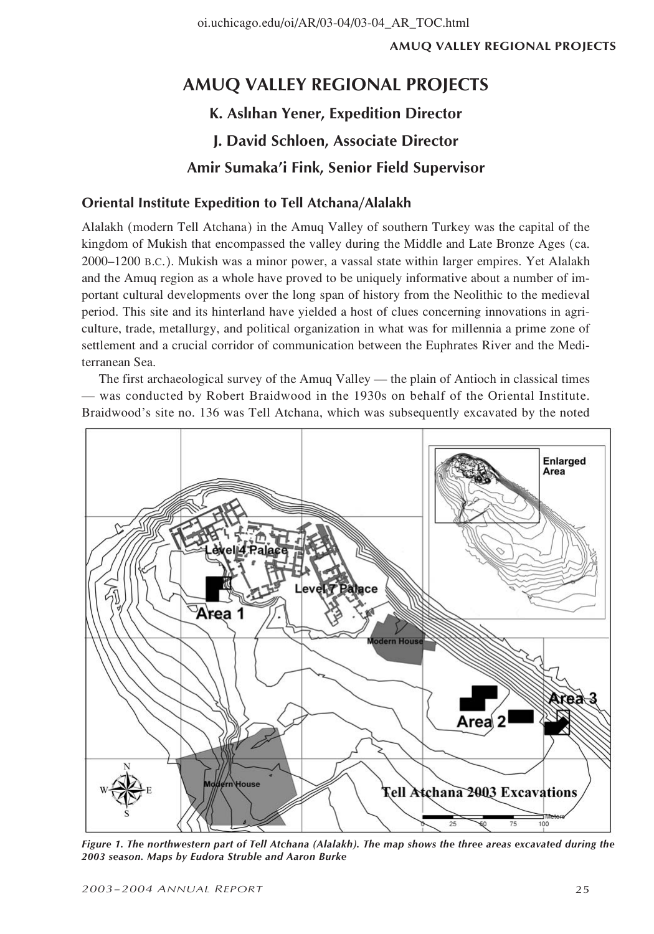# **AMUQ VALLEY REGIONAL PROJECTS K. Aslıhan Yener, Expedition Director J. David Schloen, Associate Director**

# **Amir Sumaka'i Fink, Senior Field Supervisor**

# **Oriental Institute Expedition to Tell Atchana/Alalakh**

Alalakh (modern Tell Atchana) in the Amuq Valley of southern Turkey was the capital of the kingdom of Mukish that encompassed the valley during the Middle and Late Bronze Ages (ca. 2000–1200 B.C.). Mukish was a minor power, a vassal state within larger empires. Yet Alalakh and the Amuq region as a whole have proved to be uniquely informative about a number of important cultural developments over the long span of history from the Neolithic to the medieval period. This site and its hinterland have yielded a host of clues concerning innovations in agriculture, trade, metallurgy, and political organization in what was for millennia a prime zone of settlement and a crucial corridor of communication between the Euphrates River and the Mediterranean Sea.

The first archaeological survey of the Amuq Valley — the plain of Antioch in classical times — was conducted by Robert Braidwood in the 1930s on behalf of the Oriental Institute. Braidwood's site no. 136 was Tell Atchana, which was subsequently excavated by the noted



*Figure 1. The northwestern part of Tell Atchana (Alalakh). The map shows the three areas excavated during the 2003 season. Maps by Eudora Struble and Aaron Burke*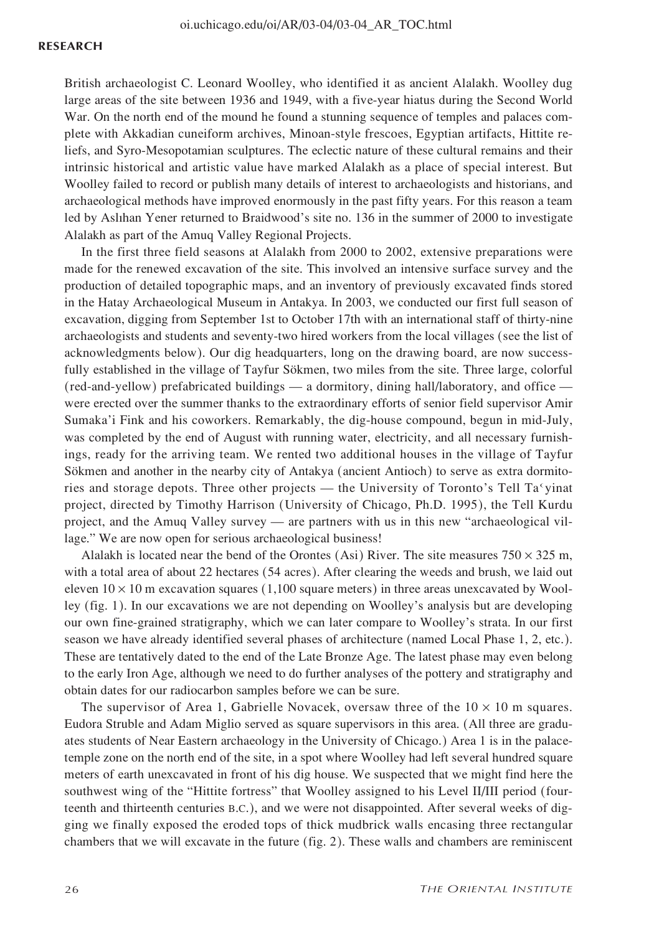#### **RESEARCH**

British archaeologist C. Leonard Woolley, who identified it as ancient Alalakh. Woolley dug large areas of the site between 1936 and 1949, with a five-year hiatus during the Second World War. On the north end of the mound he found a stunning sequence of temples and palaces complete with Akkadian cuneiform archives, Minoan-style frescoes, Egyptian artifacts, Hittite reliefs, and Syro-Mesopotamian sculptures. The eclectic nature of these cultural remains and their intrinsic historical and artistic value have marked Alalakh as a place of special interest. But Woolley failed to record or publish many details of interest to archaeologists and historians, and archaeological methods have improved enormously in the past fifty years. For this reason a team led by Aslıhan Yener returned to Braidwood's site no. 136 in the summer of 2000 to investigate Alalakh as part of the Amuq Valley Regional Projects.

In the first three field seasons at Alalakh from 2000 to 2002, extensive preparations were made for the renewed excavation of the site. This involved an intensive surface survey and the production of detailed topographic maps, and an inventory of previously excavated finds stored in the Hatay Archaeological Museum in Antakya. In 2003, we conducted our first full season of excavation, digging from September 1st to October 17th with an international staff of thirty-nine archaeologists and students and seventy-two hired workers from the local villages (see the list of acknowledgments below). Our dig headquarters, long on the drawing board, are now successfully established in the village of Tayfur Sökmen, two miles from the site. Three large, colorful (red-and-yellow) prefabricated buildings — a dormitory, dining hall/laboratory, and office were erected over the summer thanks to the extraordinary efforts of senior field supervisor Amir Sumaka'i Fink and his coworkers. Remarkably, the dig-house compound, begun in mid-July, was completed by the end of August with running water, electricity, and all necessary furnishings, ready for the arriving team. We rented two additional houses in the village of Tayfur Sökmen and another in the nearby city of Antakya (ancient Antioch) to serve as extra dormitories and storage depots. Three other projects — the University of Toronto's Tell Ta yinat project, directed by Timothy Harrison (University of Chicago, Ph.D. 1995), the Tell Kurdu project, and the Amuq Valley survey — are partners with us in this new "archaeological village." We are now open for serious archaeological business!

Alalakh is located near the bend of the Orontes (Asi) River. The site measures  $750 \times 325$  m, with a total area of about 22 hectares (54 acres). After clearing the weeds and brush, we laid out eleven  $10 \times 10$  m excavation squares (1,100 square meters) in three areas unexcavated by Woolley (fig. 1). In our excavations we are not depending on Woolley's analysis but are developing our own fine-grained stratigraphy, which we can later compare to Woolley's strata. In our first season we have already identified several phases of architecture (named Local Phase 1, 2, etc.). These are tentatively dated to the end of the Late Bronze Age. The latest phase may even belong to the early Iron Age, although we need to do further analyses of the pottery and stratigraphy and obtain dates for our radiocarbon samples before we can be sure.

The supervisor of Area 1, Gabrielle Novacek, oversaw three of the  $10 \times 10$  m squares. Eudora Struble and Adam Miglio served as square supervisors in this area. (All three are graduates students of Near Eastern archaeology in the University of Chicago.) Area 1 is in the palacetemple zone on the north end of the site, in a spot where Woolley had left several hundred square meters of earth unexcavated in front of his dig house. We suspected that we might find here the southwest wing of the "Hittite fortress" that Woolley assigned to his Level II/III period (fourteenth and thirteenth centuries B.C.), and we were not disappointed. After several weeks of digging we finally exposed the eroded tops of thick mudbrick walls encasing three rectangular chambers that we will excavate in the future (fig. 2). These walls and chambers are reminiscent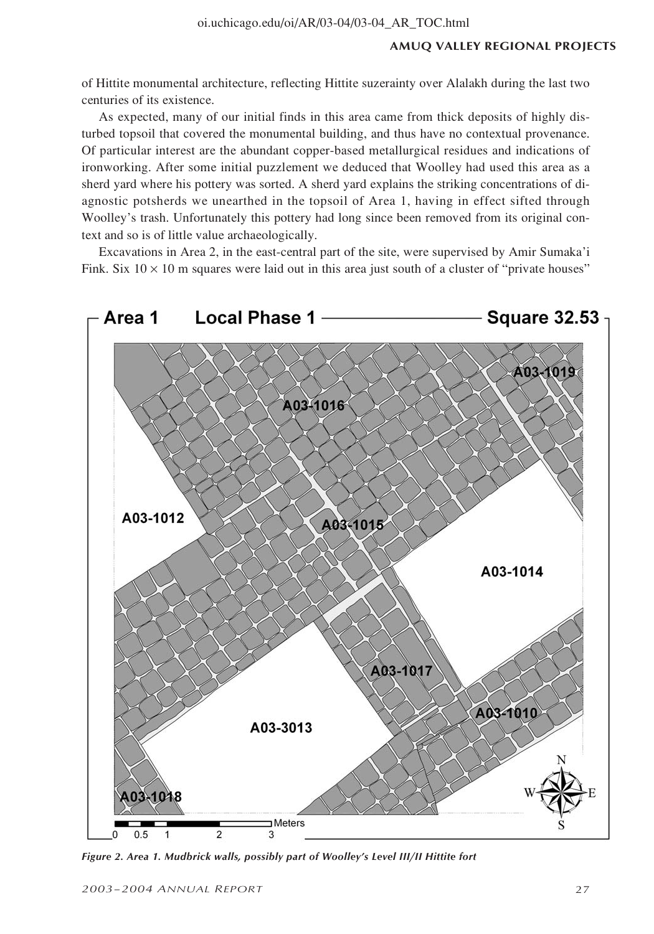of Hittite monumental architecture, reflecting Hittite suzerainty over Alalakh during the last two centuries of its existence.

As expected, many of our initial finds in this area came from thick deposits of highly disturbed topsoil that covered the monumental building, and thus have no contextual provenance. Of particular interest are the abundant copper-based metallurgical residues and indications of ironworking. After some initial puzzlement we deduced that Woolley had used this area as a sherd yard where his pottery was sorted. A sherd yard explains the striking concentrations of diagnostic potsherds we unearthed in the topsoil of Area 1, having in effect sifted through Woolley's trash. Unfortunately this pottery had long since been removed from its original context and so is of little value archaeologically.

Excavations in Area 2, in the east-central part of the site, were supervised by Amir Sumaka'i Fink. Six  $10 \times 10$  m squares were laid out in this area just south of a cluster of "private houses"



*Figure 2. Area 1. Mudbrick walls, possibly part of Woolley's Level III/II Hittite fort*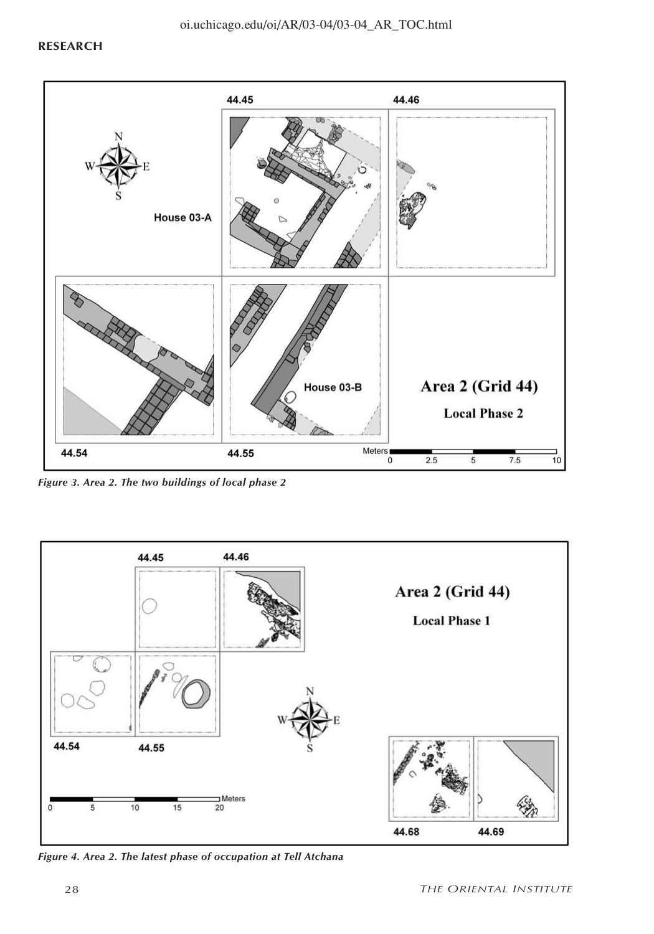

*Figure 3. Area 2. The two buildings of local phase 2*



*Figure 4. Area 2. The latest phase of occupation at Tell Atchana*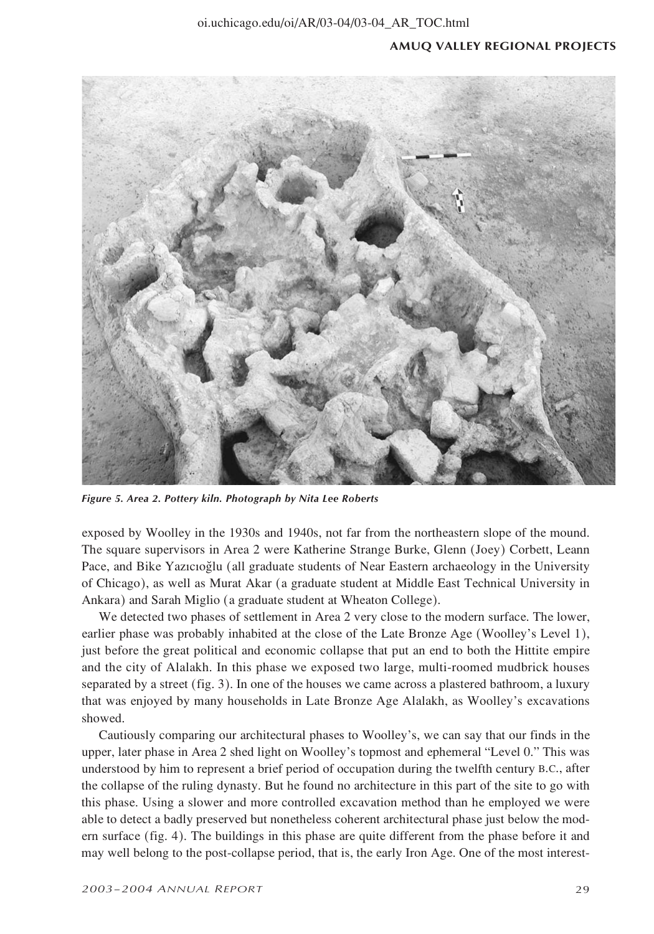

*Figure 5. Area 2. Pottery kiln. Photograph by Nita Lee Roberts*

exposed by Woolley in the 1930s and 1940s, not far from the northeastern slope of the mound. The square supervisors in Area 2 were Katherine Strange Burke, Glenn (Joey) Corbett, Leann Pace, and Bike Yazıcıoğlu (all graduate students of Near Eastern archaeology in the University of Chicago), as well as Murat Akar (a graduate student at Middle East Technical University in Ankara) and Sarah Miglio (a graduate student at Wheaton College).

We detected two phases of settlement in Area 2 very close to the modern surface. The lower, earlier phase was probably inhabited at the close of the Late Bronze Age (Woolley's Level 1), just before the great political and economic collapse that put an end to both the Hittite empire and the city of Alalakh. In this phase we exposed two large, multi-roomed mudbrick houses separated by a street (fig. 3). In one of the houses we came across a plastered bathroom, a luxury that was enjoyed by many households in Late Bronze Age Alalakh, as Woolley's excavations showed.

Cautiously comparing our architectural phases to Woolley's, we can say that our finds in the upper, later phase in Area 2 shed light on Woolley's topmost and ephemeral "Level 0." This was understood by him to represent a brief period of occupation during the twelfth century B.C., after the collapse of the ruling dynasty. But he found no architecture in this part of the site to go with this phase. Using a slower and more controlled excavation method than he employed we were able to detect a badly preserved but nonetheless coherent architectural phase just below the modern surface (fig. 4). The buildings in this phase are quite different from the phase before it and may well belong to the post-collapse period, that is, the early Iron Age. One of the most interest-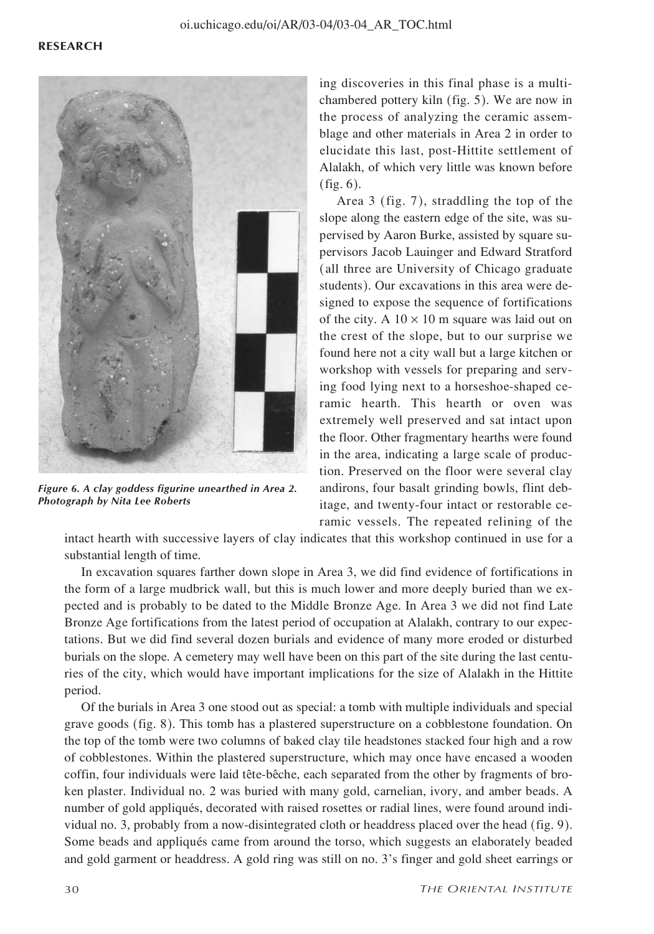

*Figure 6. A clay goddess figurine unearthed in Area 2. Photograph by Nita Lee Roberts*

ing discoveries in this final phase is a multichambered pottery kiln (fig. 5). We are now in the process of analyzing the ceramic assemblage and other materials in Area 2 in order to elucidate this last, post-Hittite settlement of Alalakh, of which very little was known before (fig. 6).

Area 3 (fig. 7), straddling the top of the slope along the eastern edge of the site, was supervised by Aaron Burke, assisted by square supervisors Jacob Lauinger and Edward Stratford (all three are University of Chicago graduate students). Our excavations in this area were designed to expose the sequence of fortifications of the city. A  $10 \times 10$  m square was laid out on the crest of the slope, but to our surprise we found here not a city wall but a large kitchen or workshop with vessels for preparing and serving food lying next to a horseshoe-shaped ceramic hearth. This hearth or oven was extremely well preserved and sat intact upon the floor. Other fragmentary hearths were found in the area, indicating a large scale of production. Preserved on the floor were several clay andirons, four basalt grinding bowls, flint debitage, and twenty-four intact or restorable ceramic vessels. The repeated relining of the

intact hearth with successive layers of clay indicates that this workshop continued in use for a substantial length of time.

In excavation squares farther down slope in Area 3, we did find evidence of fortifications in the form of a large mudbrick wall, but this is much lower and more deeply buried than we expected and is probably to be dated to the Middle Bronze Age. In Area 3 we did not find Late Bronze Age fortifications from the latest period of occupation at Alalakh, contrary to our expectations. But we did find several dozen burials and evidence of many more eroded or disturbed burials on the slope. A cemetery may well have been on this part of the site during the last centuries of the city, which would have important implications for the size of Alalakh in the Hittite period.

Of the burials in Area 3 one stood out as special: a tomb with multiple individuals and special grave goods (fig. 8). This tomb has a plastered superstructure on a cobblestone foundation. On the top of the tomb were two columns of baked clay tile headstones stacked four high and a row of cobblestones. Within the plastered superstructure, which may once have encased a wooden coffin, four individuals were laid tête-bêche, each separated from the other by fragments of broken plaster. Individual no. 2 was buried with many gold, carnelian, ivory, and amber beads. A number of gold appliqués, decorated with raised rosettes or radial lines, were found around individual no. 3, probably from a now-disintegrated cloth or headdress placed over the head (fig. 9). Some beads and appliqués came from around the torso, which suggests an elaborately beaded and gold garment or headdress. A gold ring was still on no. 3's finger and gold sheet earrings or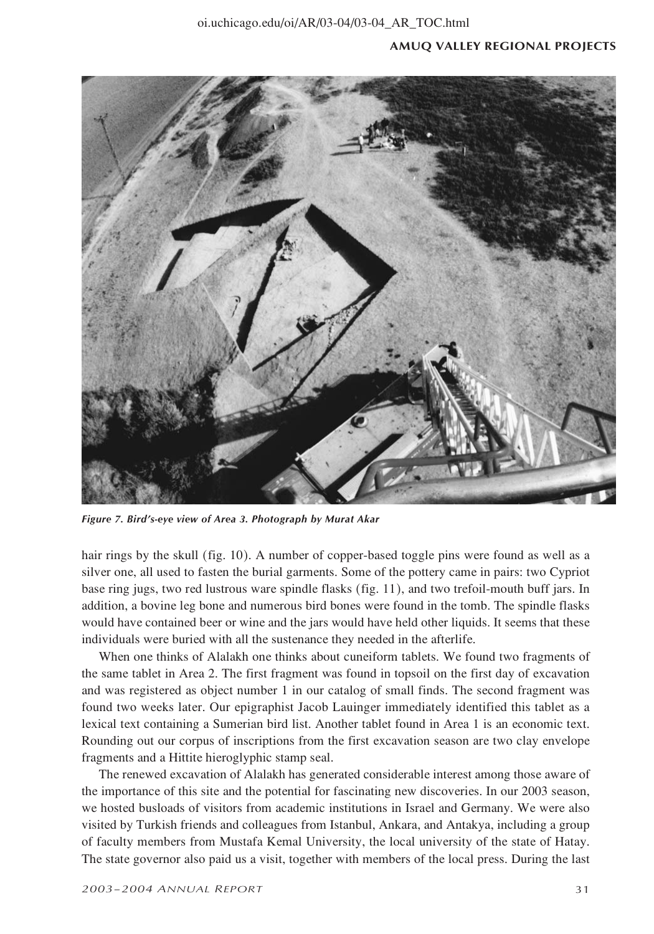

*Figure 7. Bird's-eye view of Area 3. Photograph by Murat Akar*

hair rings by the skull (fig. 10). A number of copper-based toggle pins were found as well as a silver one, all used to fasten the burial garments. Some of the pottery came in pairs: two Cypriot base ring jugs, two red lustrous ware spindle flasks (fig. 11), and two trefoil-mouth buff jars. In addition, a bovine leg bone and numerous bird bones were found in the tomb. The spindle flasks would have contained beer or wine and the jars would have held other liquids. It seems that these individuals were buried with all the sustenance they needed in the afterlife.

When one thinks of Alalakh one thinks about cuneiform tablets. We found two fragments of the same tablet in Area 2. The first fragment was found in topsoil on the first day of excavation and was registered as object number 1 in our catalog of small finds. The second fragment was found two weeks later. Our epigraphist Jacob Lauinger immediately identified this tablet as a lexical text containing a Sumerian bird list. Another tablet found in Area 1 is an economic text. Rounding out our corpus of inscriptions from the first excavation season are two clay envelope fragments and a Hittite hieroglyphic stamp seal.

The renewed excavation of Alalakh has generated considerable interest among those aware of the importance of this site and the potential for fascinating new discoveries. In our 2003 season, we hosted busloads of visitors from academic institutions in Israel and Germany. We were also visited by Turkish friends and colleagues from Istanbul, Ankara, and Antakya, including a group of faculty members from Mustafa Kemal University, the local university of the state of Hatay. The state governor also paid us a visit, together with members of the local press. During the last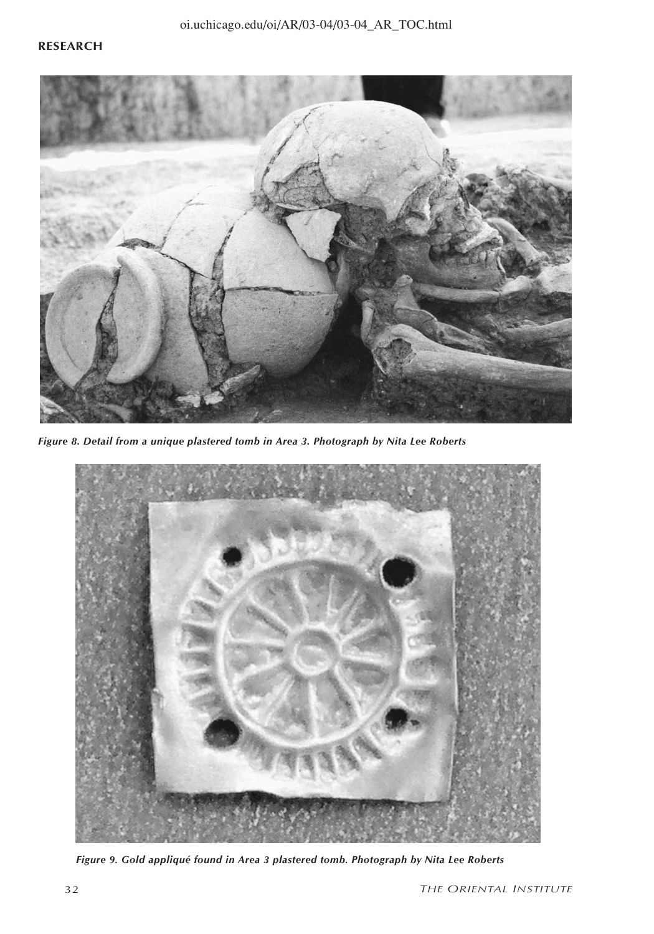

*Figure 8. Detail from a unique plastered tomb in Area 3. Photograph by Nita Lee Roberts*



*Figure 9. Gold appliqué found in Area 3 plastered tomb. Photograph by Nita Lee Roberts*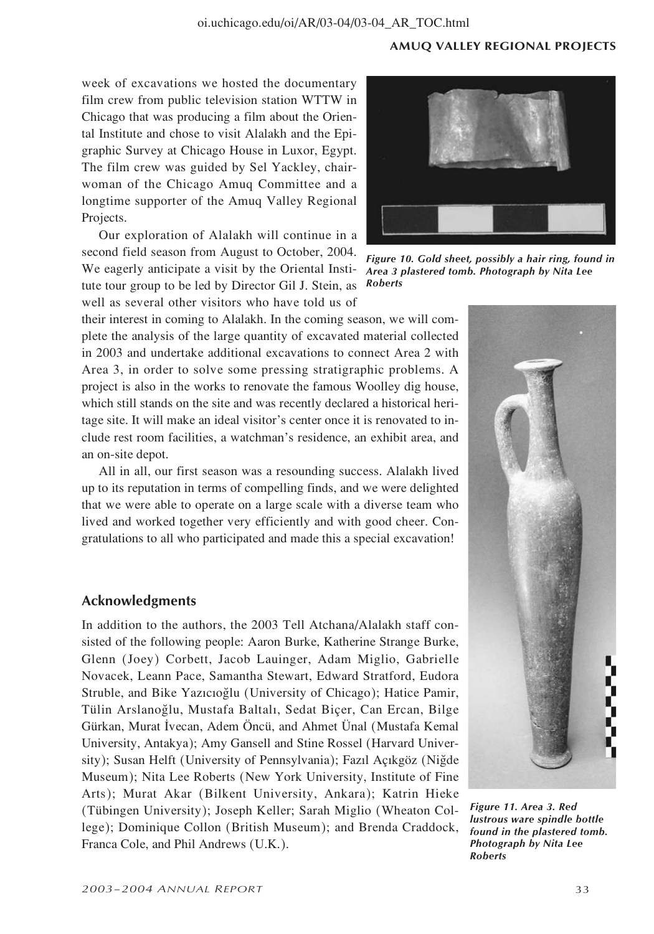week of excavations we hosted the documentary film crew from public television station WTTW in Chicago that was producing a film about the Oriental Institute and chose to visit Alalakh and the Epigraphic Survey at Chicago House in Luxor, Egypt. The film crew was guided by Sel Yackley, chairwoman of the Chicago Amuq Committee and a longtime supporter of the Amuq Valley Regional Projects.

Our exploration of Alalakh will continue in a second field season from August to October, 2004. We eagerly anticipate a visit by the Oriental Institute tour group to be led by Director Gil J. Stein, as well as several other visitors who have told us of

their interest in coming to Alalakh. In the coming season, we will complete the analysis of the large quantity of excavated material collected in 2003 and undertake additional excavations to connect Area 2 with Area 3, in order to solve some pressing stratigraphic problems. A project is also in the works to renovate the famous Woolley dig house, which still stands on the site and was recently declared a historical heritage site. It will make an ideal visitor's center once it is renovated to include rest room facilities, a watchman's residence, an exhibit area, and an on-site depot.

All in all, our first season was a resounding success. Alalakh lived up to its reputation in terms of compelling finds, and we were delighted that we were able to operate on a large scale with a diverse team who lived and worked together very efficiently and with good cheer. Congratulations to all who participated and made this a special excavation!

# **Acknowledgments**

In addition to the authors, the 2003 Tell Atchana/Alalakh staff consisted of the following people: Aaron Burke, Katherine Strange Burke, Glenn (Joey) Corbett, Jacob Lauinger, Adam Miglio, Gabrielle Novacek, Leann Pace, Samantha Stewart, Edward Stratford, Eudora Struble, and Bike Yazıcıoğlu (University of Chicago); Hatice Pamir, Tülin Arslanoğlu, Mustafa Baltalı, Sedat Biçer, Can Ercan, Bilge Gürkan, Murat ∫vecan, Adem Öncü, and Ahmet Ünal (Mustafa Kemal University, Antakya); Amy Gansell and Stine Rossel (Harvard University); Susan Helft (University of Pennsylvania); Fazıl Açıkgöz (Niğde Museum); Nita Lee Roberts (New York University, Institute of Fine Arts); Murat Akar (Bilkent University, Ankara); Katrin Hieke (Tübingen University); Joseph Keller; Sarah Miglio (Wheaton College); Dominique Collon (British Museum); and Brenda Craddock, Franca Cole, and Phil Andrews (U.K.).



*Figure 10. Gold sheet, possibly a hair ring, found in Area 3 plastered tomb. Photograph by Nita Lee Roberts*



*Figure 11. Area 3. Red lustrous ware spindle bottle found in the plastered tomb. Photograph by Nita Lee Roberts*